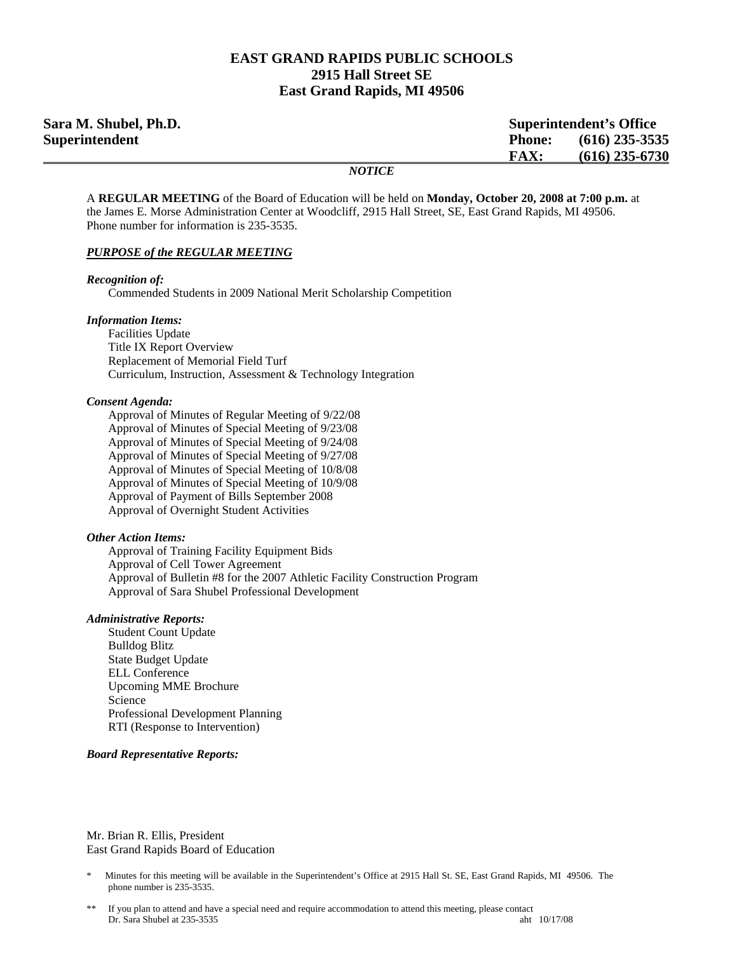### **EAST GRAND RAPIDS PUBLIC SCHOOLS 2915 Hall Street SE East Grand Rapids, MI 49506**

| Sara M. Shubel, Ph.D. |                                                                                        | <b>Superintendent's Office</b> |                  |
|-----------------------|----------------------------------------------------------------------------------------|--------------------------------|------------------|
| Superintendent        |                                                                                        | <b>Phone:</b>                  | $(616)$ 235-3535 |
|                       |                                                                                        | <b>FAX:</b>                    | $(616)$ 235-6730 |
|                       | $\mathbf{17}\boldsymbol{\wedge}\boldsymbol{m}\mathbf{7}\boldsymbol{\wedge}\mathbf{17}$ |                                |                  |

### *NOTICE*

A **REGULAR MEETING** of the Board of Education will be held on **Monday, October 20, 2008 at 7:00 p.m.** at the James E. Morse Administration Center at Woodcliff, 2915 Hall Street, SE, East Grand Rapids, MI 49506. Phone number for information is 235-3535.

### *PURPOSE of the REGULAR MEETING*

### *Recognition of:*

Commended Students in 2009 National Merit Scholarship Competition

### *Information Items:*

 Facilities Update Title IX Report Overview Replacement of Memorial Field Turf Curriculum, Instruction, Assessment & Technology Integration

### *Consent Agenda:*

 Approval of Minutes of Regular Meeting of 9/22/08 Approval of Minutes of Special Meeting of 9/23/08 Approval of Minutes of Special Meeting of 9/24/08 Approval of Minutes of Special Meeting of 9/27/08 Approval of Minutes of Special Meeting of 10/8/08 Approval of Minutes of Special Meeting of 10/9/08 Approval of Payment of Bills September 2008 Approval of Overnight Student Activities

### *Other Action Items:*

 Approval of Training Facility Equipment Bids Approval of Cell Tower Agreement Approval of Bulletin #8 for the 2007 Athletic Facility Construction Program Approval of Sara Shubel Professional Development

### *Administrative Reports:*

**Student Count Update**  Bulldog Blitz State Budget Update ELL Conference Upcoming MME Brochure Science Professional Development Planning RTI (Response to Intervention)

### *Board Representative Reports:*

Mr. Brian R. Ellis, President East Grand Rapids Board of Education

<sup>\*</sup> Minutes for this meeting will be available in the Superintendent's Office at 2915 Hall St. SE, East Grand Rapids, MI 49506. The phone number is 235-3535.

If you plan to attend and have a special need and require accommodation to attend this meeting, please contact Dr. Sara Shubel at 235-3535 aht 10/17/08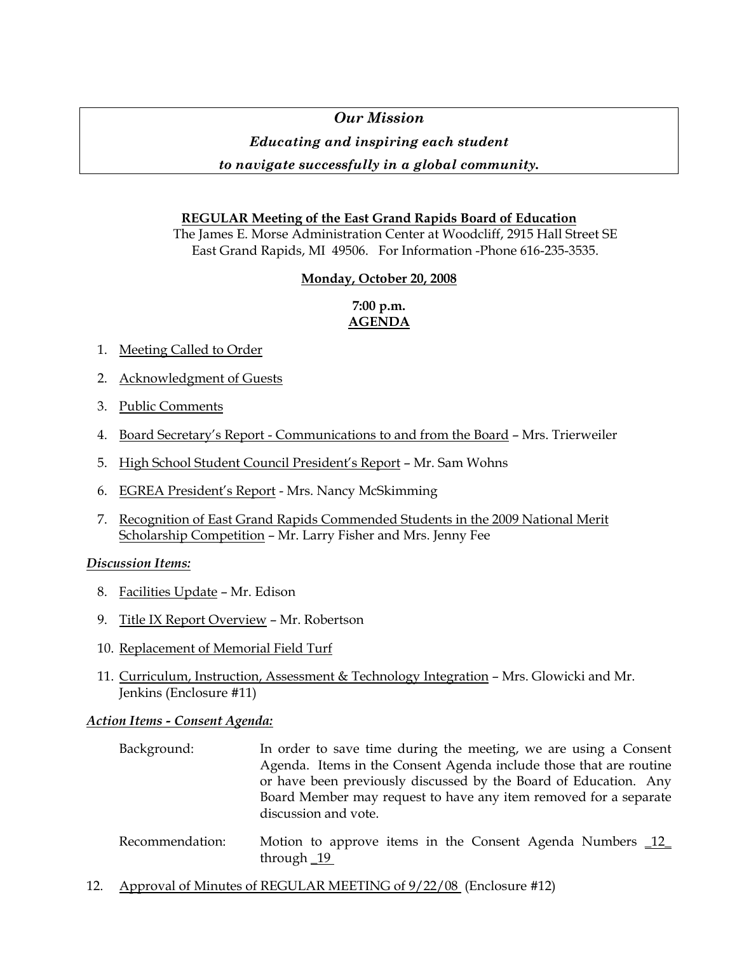# *Our Mission*

# *Educating and inspiring each student*

# *to navigate successfully in a global community.*

# **REGULAR Meeting of the East Grand Rapids Board of Education**

The James E. Morse Administration Center at Woodcliff, 2915 Hall Street SE East Grand Rapids, MI 49506. For Information -Phone 616-235-3535.

## **Monday, October 20, 2008**

# **7:00 p.m. AGENDA**

- 1. Meeting Called to Order
- 2. Acknowledgment of Guests
- 3. Public Comments
- 4. Board Secretary's Report Communications to and from the Board Mrs. Trierweiler
- 5. High School Student Council President's Report Mr. Sam Wohns
- 6. EGREA President's Report Mrs. Nancy McSkimming
- 7. Recognition of East Grand Rapids Commended Students in the 2009 National Merit Scholarship Competition – Mr. Larry Fisher and Mrs. Jenny Fee

## *Discussion Items:*

- 8. Facilities Update Mr. Edison
- 9. Title IX Report Overview Mr. Robertson
- 10. Replacement of Memorial Field Turf
- 11. Curriculum, Instruction, Assessment & Technology Integration Mrs. Glowicki and Mr. Jenkins (Enclosure #11)

## *Action Items - Consent Agenda:*

|  | Background:     | In order to save time during the meeting, we are using a Consent   |
|--|-----------------|--------------------------------------------------------------------|
|  |                 | Agenda. Items in the Consent Agenda include those that are routine |
|  |                 | or have been previously discussed by the Board of Education. Any   |
|  |                 | Board Member may request to have any item removed for a separate   |
|  |                 | discussion and vote.                                               |
|  | Rocommondation: | Motion to approve items in the Consent Agonda Numbers 12           |

- Recommendation: Motion to approve items in the Consent Agenda Numbers 12 through <u>19</u>
- 12. Approval of Minutes of REGULAR MEETING of 9/22/08 (Enclosure #12)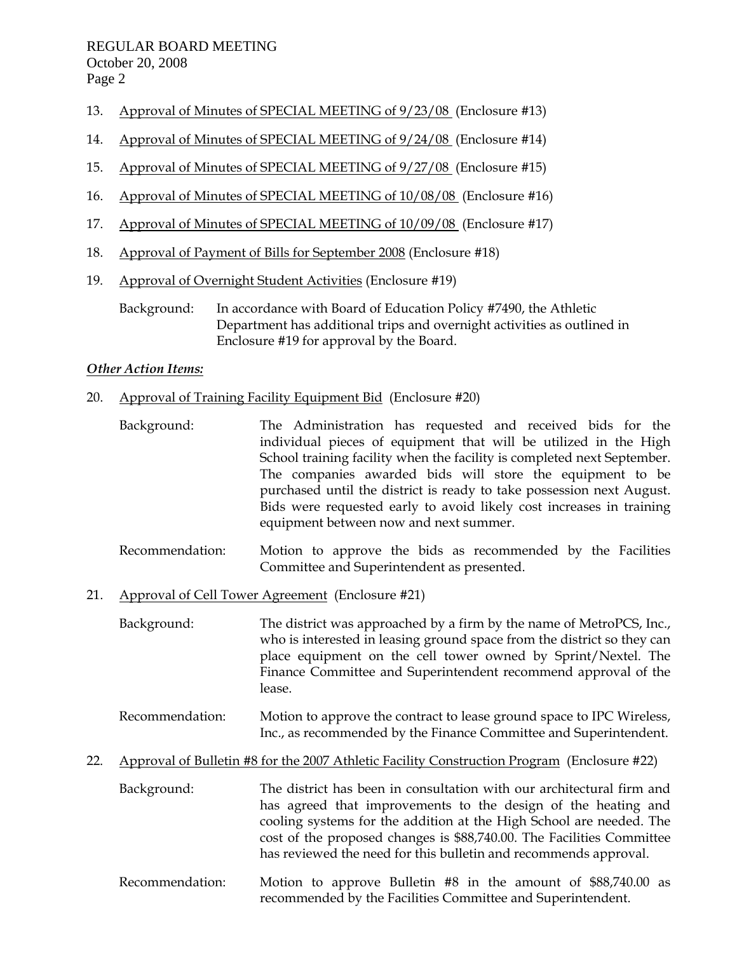- 13. Approval of Minutes of SPECIAL MEETING of 9/23/08 (Enclosure #13)
- 14. Approval of Minutes of SPECIAL MEETING of 9/24/08 (Enclosure #14)
- 15. Approval of Minutes of SPECIAL MEETING of 9/27/08 (Enclosure #15)
- 16. Approval of Minutes of SPECIAL MEETING of 10/08/08 (Enclosure #16)
- 17. Approval of Minutes of SPECIAL MEETING of 10/09/08 (Enclosure #17)
- 18. Approval of Payment of Bills for September 2008 (Enclosure #18)
- 19. Approval of Overnight Student Activities (Enclosure #19)
	- Background: In accordance with Board of Education Policy #7490, the Athletic Department has additional trips and overnight activities as outlined in Enclosure #19 for approval by the Board.

### *Other Action Items:*

- 20. Approval of Training Facility Equipment Bid (Enclosure #20)
	- Background: The Administration has requested and received bids for the individual pieces of equipment that will be utilized in the High School training facility when the facility is completed next September. The companies awarded bids will store the equipment to be purchased until the district is ready to take possession next August. Bids were requested early to avoid likely cost increases in training equipment between now and next summer.
	- Recommendation: Motion to approve the bids as recommended by the Facilities Committee and Superintendent as presented.
- 21. Approval of Cell Tower Agreement (Enclosure #21)
	- Background: The district was approached by a firm by the name of MetroPCS, Inc., who is interested in leasing ground space from the district so they can place equipment on the cell tower owned by Sprint/Nextel. The Finance Committee and Superintendent recommend approval of the lease.
	- Recommendation: Motion to approve the contract to lease ground space to IPC Wireless, Inc., as recommended by the Finance Committee and Superintendent.
- 22. Approval of Bulletin #8 for the 2007 Athletic Facility Construction Program (Enclosure #22)

 Background: The district has been in consultation with our architectural firm and has agreed that improvements to the design of the heating and cooling systems for the addition at the High School are needed. The cost of the proposed changes is \$88,740.00. The Facilities Committee has reviewed the need for this bulletin and recommends approval.

 Recommendation: Motion to approve Bulletin #8 in the amount of \$88,740.00 as recommended by the Facilities Committee and Superintendent.